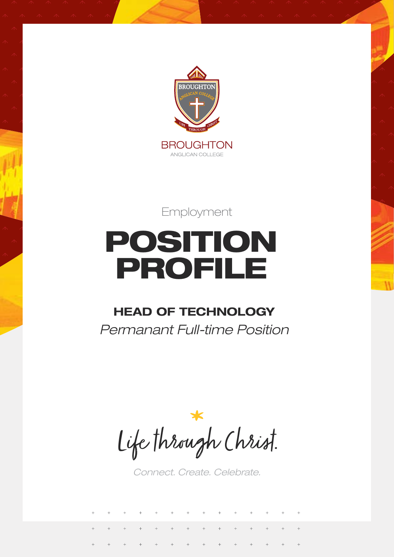

Employment

# POSITION PROFILE

# **HEAD OF TECHNOLOGY**

*Permanant Full-time Position*

Life through Christ.

*Connect. Create. Celebrate.*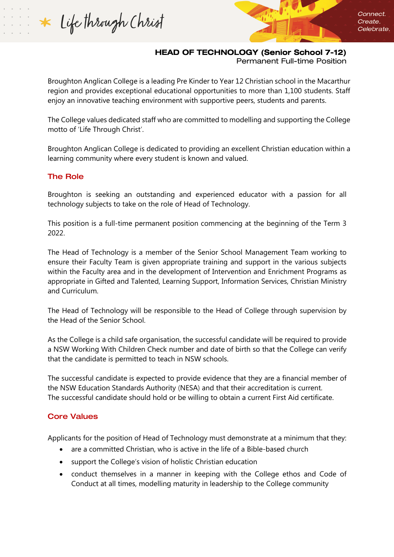\* Life through Christ

# HEAD OF TECHNOLOGY (Senior School 7-12)

Permanent Full-time Position

Broughton Anglican College is a leading Pre Kinder to Year 12 Christian school in the Macarthur region and provides exceptional educational opportunities to more than 1,100 students. Staff enjoy an innovative teaching environment with supportive peers, students and parents.

The College values dedicated staff who are committed to modelling and supporting the College motto of 'Life Through Christ'.

Broughton Anglican College is dedicated to providing an excellent Christian education within a learning community where every student is known and valued.

## The Role

Broughton is seeking an outstanding and experienced educator with a passion for all technology subjects to take on the role of Head of Technology.

This position is a full-time permanent position commencing at the beginning of the Term 3 2022.

The Head of Technology is a member of the Senior School Management Team working to ensure their Faculty Team is given appropriate training and support in the various subjects within the Faculty area and in the development of Intervention and Enrichment Programs as appropriate in Gifted and Talented, Learning Support, Information Services, Christian Ministry and Curriculum.

The Head of Technology will be responsible to the Head of College through supervision by the Head of the Senior School.

As the College is a child safe organisation, the successful candidate will be required to provide a NSW Working With Children Check number and date of birth so that the College can verify that the candidate is permitted to teach in NSW schools.

The successful candidate is expected to provide evidence that they are a financial member of the NSW Education Standards Authority (NESA) and that their accreditation is current. The successful candidate should hold or be willing to obtain a current First Aid certificate.

# Core Values

Applicants for the position of Head of Technology must demonstrate at a minimum that they:

- are a committed Christian, who is active in the life of a Bible-based church
- support the College's vision of holistic Christian education
- conduct themselves in a manner in keeping with the College ethos and Code of Conduct at all times, modelling maturity in leadership to the College community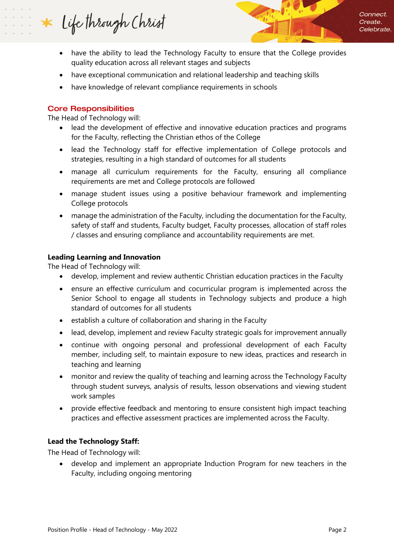Life through Christ  $\ast$ 



- have the ability to lead the Technology Faculty to ensure that the College provides quality education across all relevant stages and subjects
- have exceptional communication and relational leadership and teaching skills
- have knowledge of relevant compliance requirements in schools

#### Core Responsibilities

The Head of Technology will:

- lead the development of effective and innovative education practices and programs for the Faculty, reflecting the Christian ethos of the College
- lead the Technology staff for effective implementation of College protocols and strategies, resulting in a high standard of outcomes for all students
- manage all curriculum requirements for the Faculty, ensuring all compliance requirements are met and College protocols are followed
- manage student issues using a positive behaviour framework and implementing College protocols
- manage the administration of the Faculty, including the documentation for the Faculty, safety of staff and students, Faculty budget, Faculty processes, allocation of staff roles / classes and ensuring compliance and accountability requirements are met.

## **Leading Learning and Innovation**

The Head of Technology will:

- develop, implement and review authentic Christian education practices in the Faculty
- ensure an effective curriculum and cocurricular program is implemented across the Senior School to engage all students in Technology subjects and produce a high standard of outcomes for all students
- establish a culture of collaboration and sharing in the Faculty
- lead, develop, implement and review Faculty strategic goals for improvement annually
- continue with ongoing personal and professional development of each Faculty member, including self, to maintain exposure to new ideas, practices and research in teaching and learning
- monitor and review the quality of teaching and learning across the Technology Faculty through student surveys, analysis of results, lesson observations and viewing student work samples
- provide effective feedback and mentoring to ensure consistent high impact teaching practices and effective assessment practices are implemented across the Faculty.

# **Lead the Technology Staff:**

The Head of Technology will:

• develop and implement an appropriate Induction Program for new teachers in the Faculty, including ongoing mentoring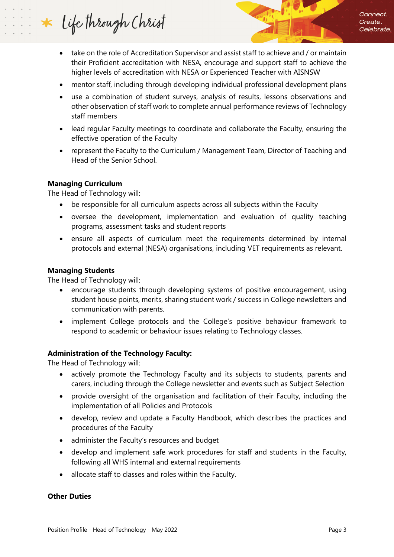Life through Christ  $\ast$ 

- take on the role of Accreditation Supervisor and assist staff to achieve and / or maintain their Proficient accreditation with NESA, encourage and support staff to achieve the higher levels of accreditation with NESA or Experienced Teacher with AISNSW
- mentor staff, including through developing individual professional development plans
- use a combination of student surveys, analysis of results, lessons observations and other observation of staff work to complete annual performance reviews of Technology staff members
- lead regular Faculty meetings to coordinate and collaborate the Faculty, ensuring the effective operation of the Faculty
- represent the Faculty to the Curriculum / Management Team, Director of Teaching and Head of the Senior School.

## **Managing Curriculum**

The Head of Technology will:

- be responsible for all curriculum aspects across all subjects within the Faculty
- oversee the development, implementation and evaluation of quality teaching programs, assessment tasks and student reports
- ensure all aspects of curriculum meet the requirements determined by internal protocols and external (NESA) organisations, including VET requirements as relevant.

#### **Managing Students**

The Head of Technology will:

- encourage students through developing systems of positive encouragement, using student house points, merits, sharing student work / success in College newsletters and communication with parents.
- implement College protocols and the College's positive behaviour framework to respond to academic or behaviour issues relating to Technology classes.

# **Administration of the Technology Faculty:**

The Head of Technology will:

- actively promote the Technology Faculty and its subjects to students, parents and carers, including through the College newsletter and events such as Subject Selection
- provide oversight of the organisation and facilitation of their Faculty, including the implementation of all Policies and Protocols
- develop, review and update a Faculty Handbook, which describes the practices and procedures of the Faculty
- administer the Faculty's resources and budget
- develop and implement safe work procedures for staff and students in the Faculty, following all WHS internal and external requirements
- allocate staff to classes and roles within the Faculty.

#### **Other Duties**

Connect.

Create. Celebrate.